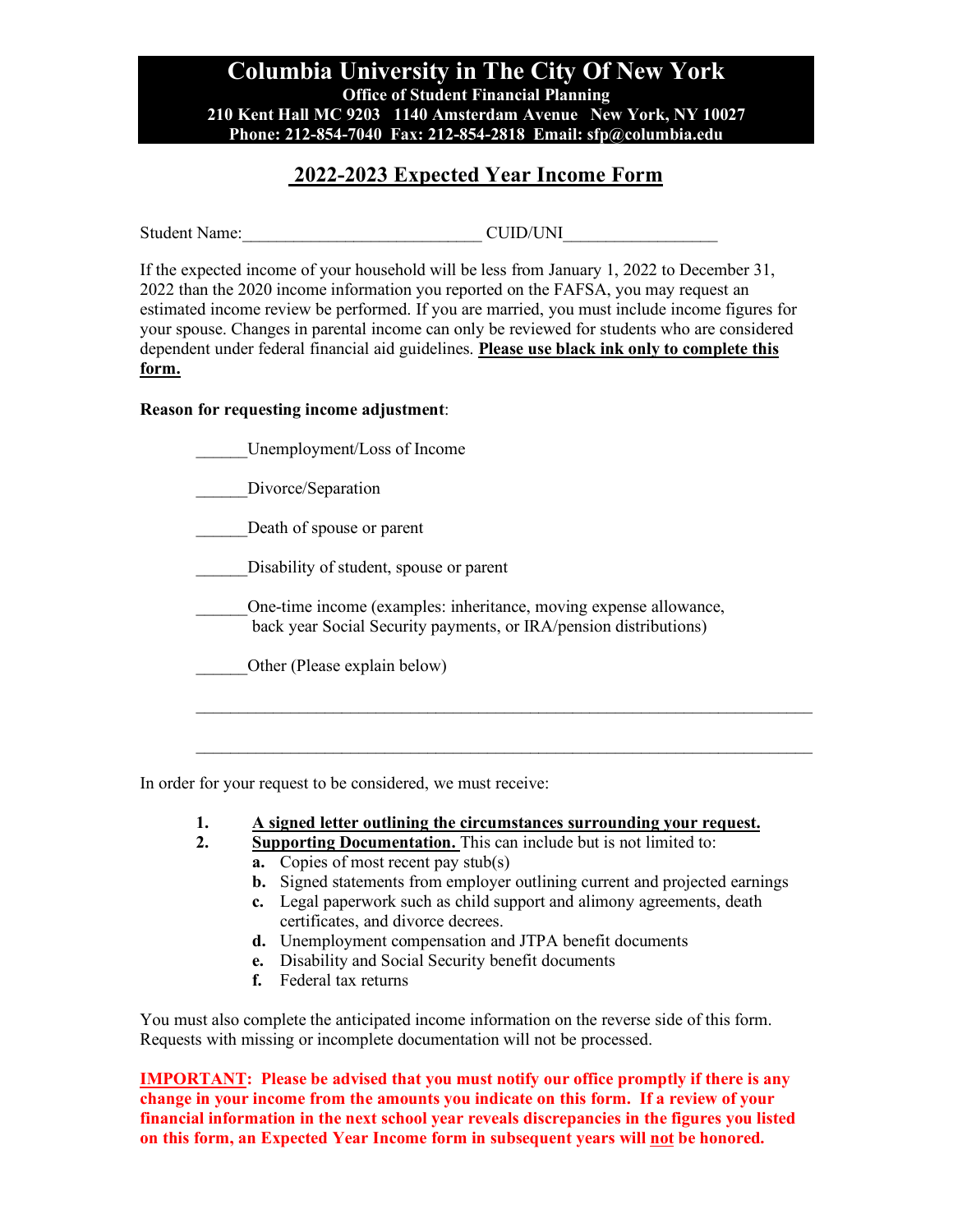### **Columbia University in The City Of New York Office of Student Financial Planning 210 Kent Hall MC 9203 1140 Amsterdam Avenue New York, NY 10027 Phone: 212-854-7040 Fax: 212-854-2818 Email: sfp@columbia.edu**

## **2022-2023 Expected Year Income Form**

Student Name: <br>
CUID/UNI

If the expected income of your household will be less from January 1, 2022 to December 31, 2022 than the 2020 income information you reported on the FAFSA, you may request an estimated income review be performed. If you are married, you must include income figures for your spouse. Changes in parental income can only be reviewed for students who are considered dependent under federal financial aid guidelines. **Please use black ink only to complete this form.** 

#### **Reason for requesting income adjustment**:

| Unemployment/Loss of Income                                                                                                            |
|----------------------------------------------------------------------------------------------------------------------------------------|
| Divorce/Separation                                                                                                                     |
| Death of spouse or parent                                                                                                              |
| Disability of student, spouse or parent                                                                                                |
| One-time income (examples: inheritance, moving expense allowance,<br>back year Social Security payments, or IRA/pension distributions) |
| Other (Please explain below)                                                                                                           |
|                                                                                                                                        |
|                                                                                                                                        |

In order for your request to be considered, we must receive:

- **1. A signed letter outlining the circumstances surrounding your request.**
- **2. Supporting Documentation.** This can include but is not limited to: **a.** Copies of most recent pay stub(s)
	- **b.** Signed statements from employer outlining current and projected earnings
	- **c.** Legal paperwork such as child support and alimony agreements, death certificates, and divorce decrees.
	- **d.** Unemployment compensation and JTPA benefit documents
	- **e.** Disability and Social Security benefit documents
	- **f.** Federal tax returns

You must also complete the anticipated income information on the reverse side of this form. Requests with missing or incomplete documentation will not be processed.

**IMPORTANT:** Please be advised that you must notify our office promptly if there is any **change in your income from the amounts you indicate on this form. If a review of your financial information in the next school year reveals discrepancies in the figures you listed on this form, an Expected Year Income form in subsequent years will not be honored.**